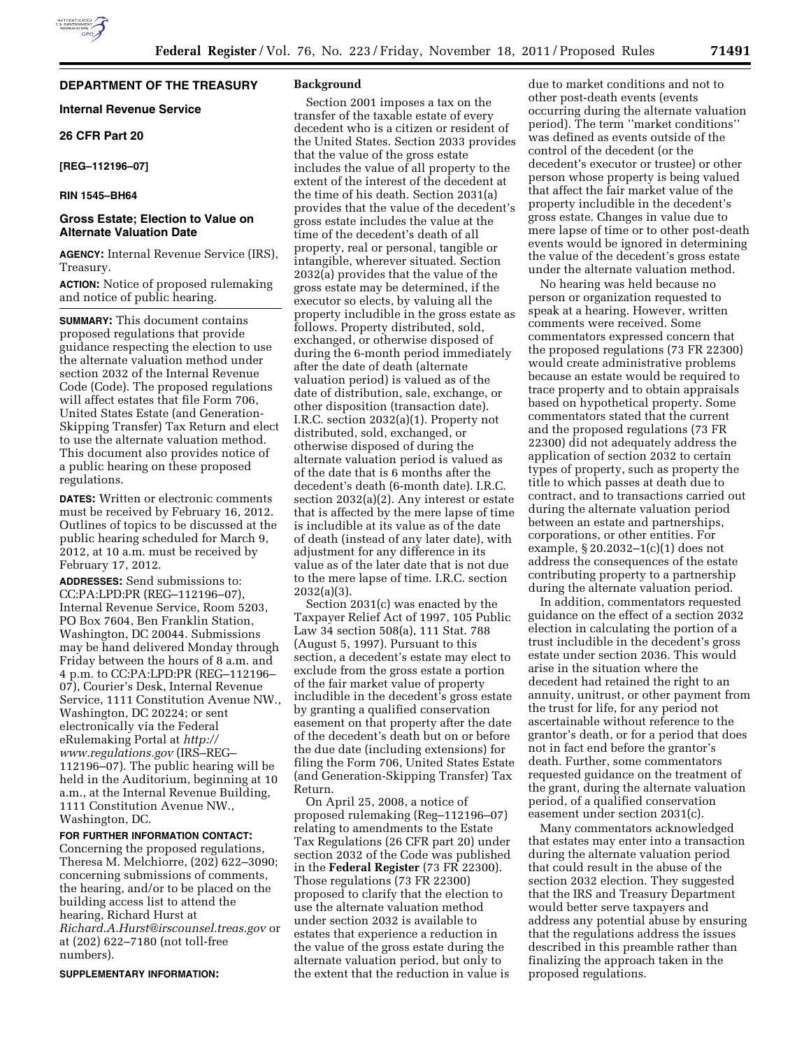### **DEPARTMENT OF THE TREASURY**

## **Internal Revenue Service**

**26 CFR Part 20** 

**[REG–112196–07]** 

### **RIN 1545–BH64**

### **Gross Estate; Election to Value on Alternate Valuation Date**

**AGENCY:** Internal Revenue Service (IRS), Treasury.

## **ACTION:** Notice of proposed rulemaking and notice of public hearing.

**SUMMARY:** This document contains proposed regulations that provide guidance respecting the election to use the alternate valuation method under section 2032 of the Internal Revenue Code (Code). The proposed regulations will affect estates that file Form 706, United States Estate (and Generation-Skipping Transfer) Tax Return and elect to use the alternate valuation method. This document also provides notice of a public hearing on these proposed regulations.

**DATES:** Written or electronic comments must be received by February 16, 2012. Outlines of topics to be discussed at the public hearing scheduled for March 9, 2012, at 10 a.m. must be received by February 17, 2012.

**ADDRESSES:** Send submissions to: CC:PA:LPD:PR (REG–112196–07), Internal Revenue Service, Room 5203, PO Box 7604, Ben Franklin Station, Washington, DC 20044. Submissions may be hand delivered Monday through Friday between the hours of 8 a.m. and 4 p.m. to CC:PA:LPD:PR (REG–112196– 07), Courier's Desk, Internal Revenue Service, 1111 Constitution Avenue NW., Washington, DC 20224; or sent electronically via the Federal eRulemaking Portal at *[http://](http://www.regulations.gov)  [www.regulations.gov](http://www.regulations.gov)* (IRS–REG– 112196–07). The public hearing will be held in the Auditorium, beginning at 10 a.m., at the Internal Revenue Building, 1111 Constitution Avenue NW., Washington, DC.

## **FOR FURTHER INFORMATION CONTACT:**

Concerning the proposed regulations, Theresa M. Melchiorre, (202) 622–3090; concerning submissions of comments, the hearing, and/or to be placed on the building access list to attend the hearing, Richard Hurst at *[Richard.A.Hurst@irscounsel.treas.gov](mailto:Richard.A.Hurst@irscounsel.treas.gov)* or at (202) 622–7180 (not toll-free numbers).

#### **SUPPLEMENTARY INFORMATION:**

#### **Background**

Section 2001 imposes a tax on the transfer of the taxable estate of every decedent who is a citizen or resident of the United States. Section 2033 provides that the value of the gross estate includes the value of all property to the extent of the interest of the decedent at the time of his death. Section 2031(a) provides that the value of the decedent's gross estate includes the value at the time of the decedent's death of all property, real or personal, tangible or intangible, wherever situated. Section 2032(a) provides that the value of the gross estate may be determined, if the executor so elects, by valuing all the property includible in the gross estate as follows. Property distributed, sold, exchanged, or otherwise disposed of during the 6-month period immediately after the date of death (alternate valuation period) is valued as of the date of distribution, sale, exchange, or other disposition (transaction date). I.R.C. section 2032(a)(1). Property not distributed, sold, exchanged, or otherwise disposed of during the alternate valuation period is valued as of the date that is 6 months after the decedent's death (6-month date). I.R.C. section 2032(a)(2). Any interest or estate that is affected by the mere lapse of time is includible at its value as of the date of death (instead of any later date), with adjustment for any difference in its value as of the later date that is not due to the mere lapse of time. I.R.C. section 2032(a)(3).

Section 2031(c) was enacted by the Taxpayer Relief Act of 1997, 105 Public Law 34 section 508(a), 111 Stat. 788 (August 5, 1997). Pursuant to this section, a decedent's estate may elect to exclude from the gross estate a portion of the fair market value of property includible in the decedent's gross estate by granting a qualified conservation easement on that property after the date of the decedent's death but on or before the due date (including extensions) for filing the Form 706, United States Estate (and Generation-Skipping Transfer) Tax Return.

On April 25, 2008, a notice of proposed rulemaking (Reg–112196–07) relating to amendments to the Estate Tax Regulations (26 CFR part 20) under section 2032 of the Code was published in the **Federal Register** (73 FR 22300). Those regulations (73 FR 22300) proposed to clarify that the election to use the alternate valuation method under section 2032 is available to estates that experience a reduction in the value of the gross estate during the alternate valuation period, but only to the extent that the reduction in value is

due to market conditions and not to other post-death events (events occurring during the alternate valuation period). The term ''market conditions'' was defined as events outside of the control of the decedent (or the decedent's executor or trustee) or other person whose property is being valued that affect the fair market value of the property includible in the decedent's gross estate. Changes in value due to mere lapse of time or to other post-death events would be ignored in determining the value of the decedent's gross estate under the alternate valuation method.

No hearing was held because no person or organization requested to speak at a hearing. However, written comments were received. Some commentators expressed concern that the proposed regulations (73 FR 22300) would create administrative problems because an estate would be required to trace property and to obtain appraisals based on hypothetical property. Some commentators stated that the current and the proposed regulations (73 FR 22300) did not adequately address the application of section 2032 to certain types of property, such as property the title to which passes at death due to contract, and to transactions carried out during the alternate valuation period between an estate and partnerships, corporations, or other entities. For example, § 20.2032–1(c)(1) does not address the consequences of the estate contributing property to a partnership during the alternate valuation period.

In addition, commentators requested guidance on the effect of a section 2032 election in calculating the portion of a trust includible in the decedent's gross estate under section 2036. This would arise in the situation where the decedent had retained the right to an annuity, unitrust, or other payment from the trust for life, for any period not ascertainable without reference to the grantor's death, or for a period that does not in fact end before the grantor's death. Further, some commentators requested guidance on the treatment of the grant, during the alternate valuation period, of a qualified conservation easement under section 2031(c).

Many commentators acknowledged that estates may enter into a transaction during the alternate valuation period that could result in the abuse of the section 2032 election. They suggested that the IRS and Treasury Department would better serve taxpayers and address any potential abuse by ensuring that the regulations address the issues described in this preamble rather than finalizing the approach taken in the proposed regulations.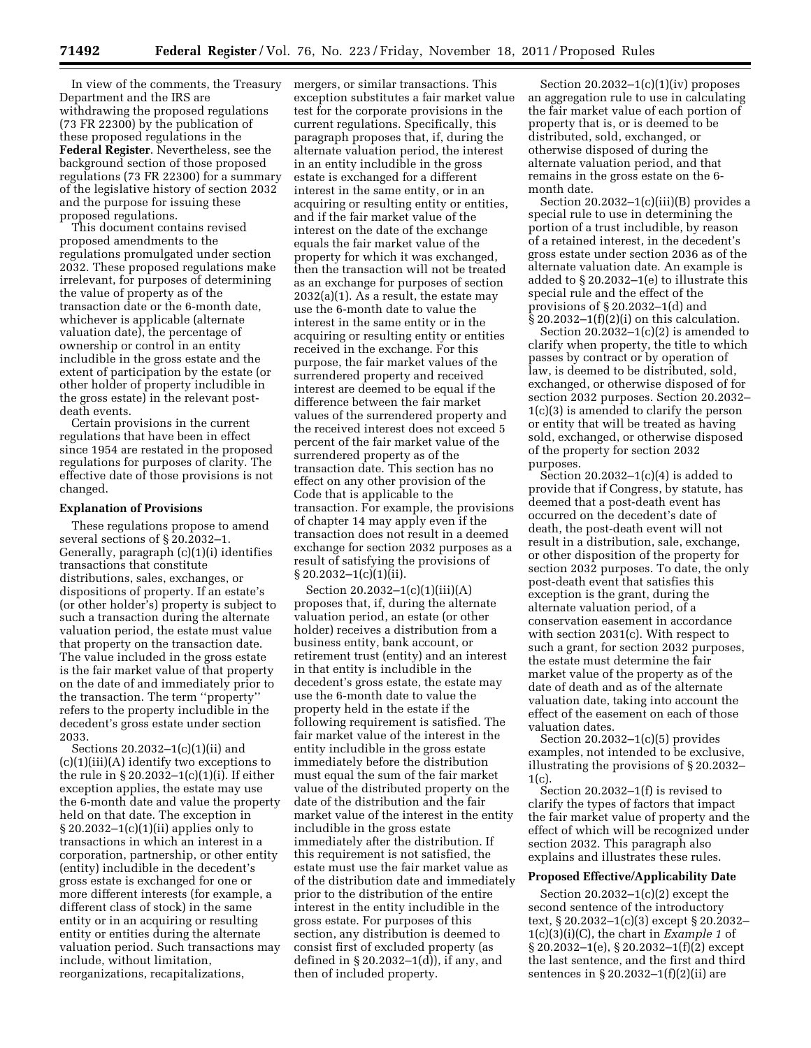In view of the comments, the Treasury Department and the IRS are withdrawing the proposed regulations (73 FR 22300) by the publication of these proposed regulations in the **Federal Register**. Nevertheless, see the background section of those proposed regulations (73 FR 22300) for a summary of the legislative history of section 2032 and the purpose for issuing these proposed regulations.

This document contains revised proposed amendments to the regulations promulgated under section 2032. These proposed regulations make irrelevant, for purposes of determining the value of property as of the transaction date or the 6-month date, whichever is applicable (alternate valuation date), the percentage of ownership or control in an entity includible in the gross estate and the extent of participation by the estate (or other holder of property includible in the gross estate) in the relevant postdeath events.

Certain provisions in the current regulations that have been in effect since 1954 are restated in the proposed regulations for purposes of clarity. The effective date of those provisions is not changed.

#### **Explanation of Provisions**

These regulations propose to amend several sections of § 20.2032–1. Generally, paragraph (c)(1)(i) identifies transactions that constitute distributions, sales, exchanges, or dispositions of property. If an estate's (or other holder's) property is subject to such a transaction during the alternate valuation period, the estate must value that property on the transaction date. The value included in the gross estate is the fair market value of that property on the date of and immediately prior to the transaction. The term ''property'' refers to the property includible in the decedent's gross estate under section 2033.

Sections 20.2032–1(c)(1)(ii) and (c)(1)(iii)(A) identify two exceptions to the rule in § 20.2032–1(c)(1)(i). If either exception applies, the estate may use the 6-month date and value the property held on that date. The exception in § 20.2032–1(c)(1)(ii) applies only to transactions in which an interest in a corporation, partnership, or other entity (entity) includible in the decedent's gross estate is exchanged for one or more different interests (for example, a different class of stock) in the same entity or in an acquiring or resulting entity or entities during the alternate valuation period. Such transactions may include, without limitation, reorganizations, recapitalizations,

mergers, or similar transactions. This exception substitutes a fair market value test for the corporate provisions in the current regulations. Specifically, this paragraph proposes that, if, during the alternate valuation period, the interest in an entity includible in the gross estate is exchanged for a different interest in the same entity, or in an acquiring or resulting entity or entities, and if the fair market value of the interest on the date of the exchange equals the fair market value of the property for which it was exchanged, then the transaction will not be treated as an exchange for purposes of section  $2032(a)(1)$ . As a result, the estate may use the 6-month date to value the interest in the same entity or in the acquiring or resulting entity or entities received in the exchange. For this purpose, the fair market values of the surrendered property and received interest are deemed to be equal if the difference between the fair market values of the surrendered property and the received interest does not exceed 5 percent of the fair market value of the surrendered property as of the transaction date. This section has no effect on any other provision of the Code that is applicable to the transaction. For example, the provisions of chapter 14 may apply even if the transaction does not result in a deemed exchange for section 2032 purposes as a result of satisfying the provisions of  $§ 20.2032-1(c)(1)(ii).$ 

Section 20.2032–1(c)(1)(iii)(A) proposes that, if, during the alternate valuation period, an estate (or other holder) receives a distribution from a business entity, bank account, or retirement trust (entity) and an interest in that entity is includible in the decedent's gross estate, the estate may use the 6-month date to value the property held in the estate if the following requirement is satisfied. The fair market value of the interest in the entity includible in the gross estate immediately before the distribution must equal the sum of the fair market value of the distributed property on the date of the distribution and the fair market value of the interest in the entity includible in the gross estate immediately after the distribution. If this requirement is not satisfied, the estate must use the fair market value as of the distribution date and immediately prior to the distribution of the entire interest in the entity includible in the gross estate. For purposes of this section, any distribution is deemed to consist first of excluded property (as defined in § 20.2032–1(d)), if any, and then of included property.

Section  $20.2032-1(c)(1)(iv)$  proposes an aggregation rule to use in calculating the fair market value of each portion of property that is, or is deemed to be distributed, sold, exchanged, or otherwise disposed of during the alternate valuation period, and that remains in the gross estate on the 6 month date.

Section 20.2032–1(c)(iii)(B) provides a special rule to use in determining the portion of a trust includible, by reason of a retained interest, in the decedent's gross estate under section 2036 as of the alternate valuation date. An example is added to § 20.2032–1(e) to illustrate this special rule and the effect of the provisions of § 20.2032–1(d) and  $§ 20.2032-1(f)(2)(i)$  on this calculation.

Section  $20.2032-1(c)(2)$  is amended to clarify when property, the title to which passes by contract or by operation of law, is deemed to be distributed, sold, exchanged, or otherwise disposed of for section 2032 purposes. Section 20.2032– 1(c)(3) is amended to clarify the person or entity that will be treated as having sold, exchanged, or otherwise disposed of the property for section 2032 purposes.

Section  $20.2032-1(c)(4)$  is added to provide that if Congress, by statute, has deemed that a post-death event has occurred on the decedent's date of death, the post-death event will not result in a distribution, sale, exchange, or other disposition of the property for section 2032 purposes. To date, the only post-death event that satisfies this exception is the grant, during the alternate valuation period, of a conservation easement in accordance with section 2031(c). With respect to such a grant, for section 2032 purposes, the estate must determine the fair market value of the property as of the date of death and as of the alternate valuation date, taking into account the effect of the easement on each of those valuation dates.

Section 20.2032–1(c)(5) provides examples, not intended to be exclusive, illustrating the provisions of § 20.2032– 1(c).

Section 20.2032–1(f) is revised to clarify the types of factors that impact the fair market value of property and the effect of which will be recognized under section 2032. This paragraph also explains and illustrates these rules.

### **Proposed Effective/Applicability Date**

Section  $20.2032-1(c)(2)$  except the second sentence of the introductory text, § 20.2032–1(c)(3) except § 20.2032– 1(c)(3)(i)(C), the chart in *Example 1* of § 20.2032–1(e), § 20.2032–1(f)(2) except the last sentence, and the first and third sentences in § 20.2032–1(f)(2)(ii) are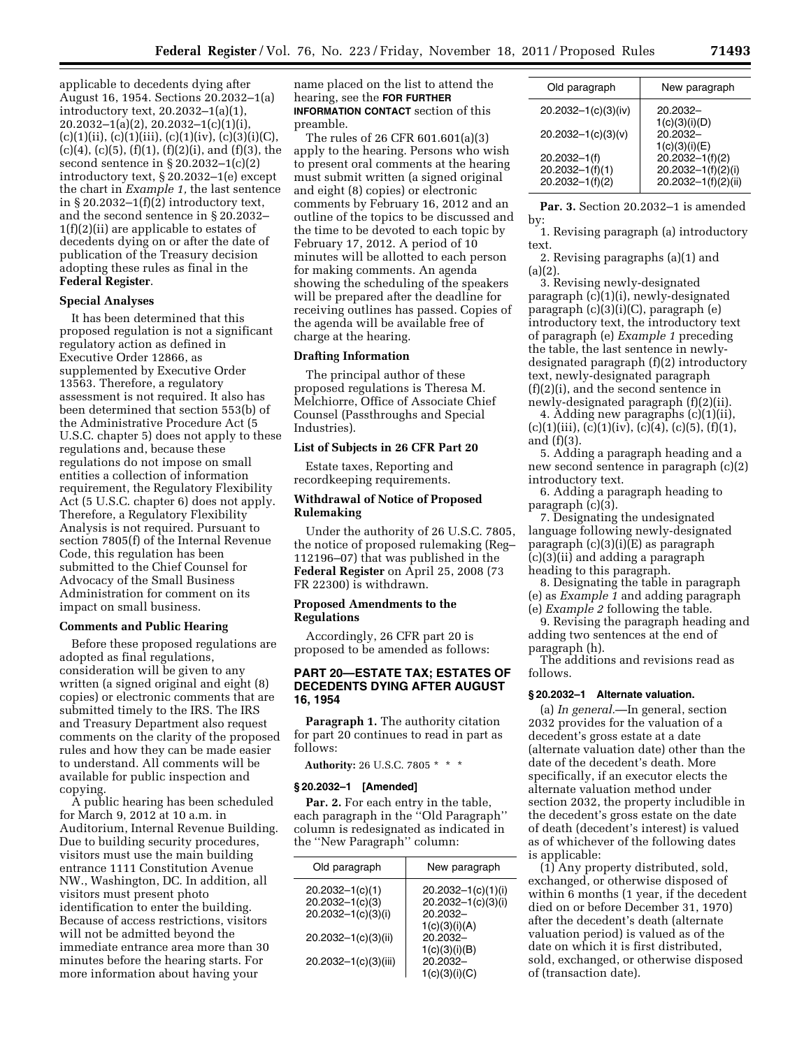applicable to decedents dying after August 16, 1954. Sections 20.2032–1(a) introductory text, 20.2032–1(a)(1), 20.2032–1(a)(2), 20.2032–1(c)(1)(i),  $(c)(1)(ii)$ ,  $(c)(1)(iii)$ ,  $(c)(1)(iv)$ ,  $(c)(3)(i)(C)$ , (c)(4), (c)(5), (f)(1), (f)(2)(i), and (f)(3), the second sentence in § 20.2032–1(c)(2) introductory text, § 20.2032–1(e) except the chart in *Example 1,* the last sentence in  $\S 20.2032-1(f)(2)$  introductory text, and the second sentence in § 20.2032– 1(f)(2)(ii) are applicable to estates of decedents dying on or after the date of publication of the Treasury decision adopting these rules as final in the **Federal Register**.

#### **Special Analyses**

It has been determined that this proposed regulation is not a significant regulatory action as defined in Executive Order 12866, as supplemented by Executive Order 13563. Therefore, a regulatory assessment is not required. It also has been determined that section 553(b) of the Administrative Procedure Act (5 U.S.C. chapter 5) does not apply to these regulations and, because these regulations do not impose on small entities a collection of information requirement, the Regulatory Flexibility Act (5 U.S.C. chapter 6) does not apply. Therefore, a Regulatory Flexibility Analysis is not required. Pursuant to section 7805(f) of the Internal Revenue Code, this regulation has been submitted to the Chief Counsel for Advocacy of the Small Business Administration for comment on its impact on small business.

### **Comments and Public Hearing**

Before these proposed regulations are adopted as final regulations, consideration will be given to any written (a signed original and eight (8) copies) or electronic comments that are submitted timely to the IRS. The IRS and Treasury Department also request comments on the clarity of the proposed rules and how they can be made easier to understand. All comments will be available for public inspection and copying.

A public hearing has been scheduled for March 9, 2012 at 10 a.m. in Auditorium, Internal Revenue Building. Due to building security procedures, visitors must use the main building entrance 1111 Constitution Avenue NW., Washington, DC. In addition, all visitors must present photo identification to enter the building. Because of access restrictions, visitors will not be admitted beyond the immediate entrance area more than 30 minutes before the hearing starts. For more information about having your

name placed on the list to attend the hearing, see the **FOR FURTHER INFORMATION CONTACT** section of this preamble.

The rules of 26 CFR 601.601(a)(3) apply to the hearing. Persons who wish to present oral comments at the hearing must submit written (a signed original and eight (8) copies) or electronic comments by February 16, 2012 and an outline of the topics to be discussed and the time to be devoted to each topic by February 17, 2012. A period of 10 minutes will be allotted to each person for making comments. An agenda showing the scheduling of the speakers will be prepared after the deadline for receiving outlines has passed. Copies of the agenda will be available free of charge at the hearing.

### **Drafting Information**

The principal author of these proposed regulations is Theresa M. Melchiorre, Office of Associate Chief Counsel (Passthroughs and Special Industries).

## **List of Subjects in 26 CFR Part 20**

Estate taxes, Reporting and recordkeeping requirements.

## **Withdrawal of Notice of Proposed Rulemaking**

Under the authority of 26 U.S.C. 7805, the notice of proposed rulemaking (Reg– 112196–07) that was published in the **Federal Register** on April 25, 2008 (73 FR 22300) is withdrawn.

## **Proposed Amendments to the Regulations**

Accordingly, 26 CFR part 20 is proposed to be amended as follows:

### **PART 20—ESTATE TAX; ESTATES OF DECEDENTS DYING AFTER AUGUST 16, 1954**

**Paragraph 1.** The authority citation for part 20 continues to read in part as follows:

**Authority:** 26 U.S.C. 7805 \* \* \*

#### **§ 20.2032–1 [Amended]**

**Par. 2.** For each entry in the table, each paragraph in the ''Old Paragraph'' column is redesignated as indicated in the ''New Paragraph'' column:

| Old paragraph          | New paragraph          |
|------------------------|------------------------|
| $20.2032 - 1(c)(1)$    | $20.2032 - 1(c)(1)(i)$ |
| $20.2032 - 1(c)(3)$    | 20.2032-1(c)(3)(i)     |
| $20.2032 - 1(c)(3)(i)$ | 20.2032-               |
|                        | 1(c)(3)(i)(A)          |
| 20.2032-1(c)(3)(ii)    | 20.2032-               |
|                        | 1(c)(3)(i)(B)          |
| 20.2032-1(c)(3)(iii)   | 20.2032-               |
|                        | 1(c)(3)(i)(C)          |

| New paragraph                             |
|-------------------------------------------|
| 20.2032-                                  |
| 1(c)(3)(i)(D)<br>20.2032-                 |
| 1(c)(3)(i)(E)<br>$20.2032 - 1(f)(2)$      |
| 20.2032-1(f)(2)(i)<br>20.2032-1(f)(2)(ii) |
|                                           |

**Par. 3.** Section 20.2032–1 is amended by:

1. Revising paragraph (a) introductory text.

2. Revising paragraphs (a)(1) and  $(a)(2)$ .

3. Revising newly-designated paragraph (c)(1)(i), newly-designated paragraph (c)(3)(i)(C), paragraph (e) introductory text, the introductory text of paragraph (e) *Example 1* preceding the table, the last sentence in newlydesignated paragraph (f)(2) introductory text, newly-designated paragraph (f)(2)(i), and the second sentence in newly-designated paragraph (f)(2)(ii).

4. Adding new paragraphs (c)(1)(ii),  $(c)(1)(iii)$ ,  $(c)(1)(iv)$ ,  $(c)(4)$ ,  $(c)(5)$ ,  $(f)(1)$ , and (f)(3).

5. Adding a paragraph heading and a new second sentence in paragraph (c)(2) introductory text.

6. Adding a paragraph heading to paragraph (c)(3).

7. Designating the undesignated language following newly-designated paragraph (c)(3)(i)(E) as paragraph (c)(3)(ii) and adding a paragraph heading to this paragraph.

8. Designating the table in paragraph (e) as *Example 1* and adding paragraph (e) *Example 2* following the table.

9. Revising the paragraph heading and adding two sentences at the end of paragraph (h).

The additions and revisions read as follows.

### **§ 20.2032–1 Alternate valuation.**

(a) *In general.*—In general, section 2032 provides for the valuation of a decedent's gross estate at a date (alternate valuation date) other than the date of the decedent's death. More specifically, if an executor elects the alternate valuation method under section 2032, the property includible in the decedent's gross estate on the date of death (decedent's interest) is valued as of whichever of the following dates is applicable:

(1) Any property distributed, sold, exchanged, or otherwise disposed of within 6 months (1 year, if the decedent died on or before December 31, 1970) after the decedent's death (alternate valuation period) is valued as of the date on which it is first distributed, sold, exchanged, or otherwise disposed of (transaction date).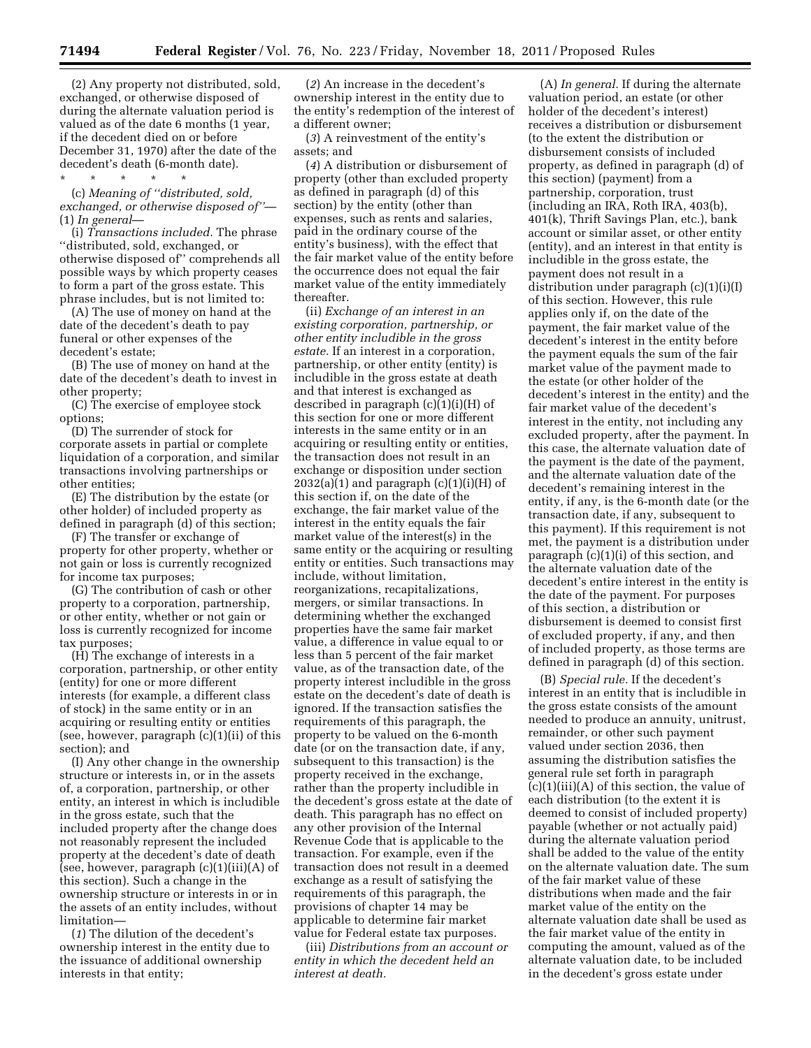(2) Any property not distributed, sold, exchanged, or otherwise disposed of during the alternate valuation period is valued as of the date 6 months (1 year, if the decedent died on or before December 31, 1970) after the date of the decedent's death (6-month date). \* \* \* \* \*

(c) *Meaning of ''distributed, sold, exchanged, or otherwise disposed of''*— (1) *In general*—

(i) *Transactions included.* The phrase ''distributed, sold, exchanged, or otherwise disposed of'' comprehends all possible ways by which property ceases to form a part of the gross estate. This phrase includes, but is not limited to:

(A) The use of money on hand at the date of the decedent's death to pay funeral or other expenses of the decedent's estate;

(B) The use of money on hand at the date of the decedent's death to invest in other property;

(C) The exercise of employee stock options;

(D) The surrender of stock for corporate assets in partial or complete liquidation of a corporation, and similar transactions involving partnerships or other entities;

(E) The distribution by the estate (or other holder) of included property as defined in paragraph (d) of this section;

(F) The transfer or exchange of property for other property, whether or not gain or loss is currently recognized for income tax purposes;

(G) The contribution of cash or other property to a corporation, partnership, or other entity, whether or not gain or loss is currently recognized for income tax purposes;

(H) The exchange of interests in a corporation, partnership, or other entity (entity) for one or more different interests (for example, a different class of stock) in the same entity or in an acquiring or resulting entity or entities (see, however, paragraph (c)(1)(ii) of this section); and

(I) Any other change in the ownership structure or interests in, or in the assets of, a corporation, partnership, or other entity, an interest in which is includible in the gross estate, such that the included property after the change does not reasonably represent the included property at the decedent's date of death (see, however, paragraph (c)(1)(iii)(A) of this section). Such a change in the ownership structure or interests in or in the assets of an entity includes, without limitation—

(*1*) The dilution of the decedent's ownership interest in the entity due to the issuance of additional ownership interests in that entity;

(*2*) An increase in the decedent's ownership interest in the entity due to the entity's redemption of the interest of a different owner;

(*3*) A reinvestment of the entity's assets; and

(*4*) A distribution or disbursement of property (other than excluded property as defined in paragraph (d) of this section) by the entity (other than expenses, such as rents and salaries, paid in the ordinary course of the entity's business), with the effect that the fair market value of the entity before the occurrence does not equal the fair market value of the entity immediately thereafter.

(ii) *Exchange of an interest in an existing corporation, partnership, or other entity includible in the gross estate.* If an interest in a corporation, partnership, or other entity (entity) is includible in the gross estate at death and that interest is exchanged as described in paragraph (c)(1)(i)(H) of this section for one or more different interests in the same entity or in an acquiring or resulting entity or entities, the transaction does not result in an exchange or disposition under section  $2032(a)(1)$  and paragraph  $(c)(1)(i)(H)$  of this section if, on the date of the exchange, the fair market value of the interest in the entity equals the fair market value of the interest(s) in the same entity or the acquiring or resulting entity or entities. Such transactions may include, without limitation, reorganizations, recapitalizations, mergers, or similar transactions. In determining whether the exchanged properties have the same fair market value, a difference in value equal to or less than 5 percent of the fair market value, as of the transaction date, of the property interest includible in the gross estate on the decedent's date of death is ignored. If the transaction satisfies the requirements of this paragraph, the property to be valued on the 6-month date (or on the transaction date, if any, subsequent to this transaction) is the property received in the exchange, rather than the property includible in the decedent's gross estate at the date of death. This paragraph has no effect on any other provision of the Internal Revenue Code that is applicable to the transaction. For example, even if the transaction does not result in a deemed exchange as a result of satisfying the requirements of this paragraph, the provisions of chapter 14 may be applicable to determine fair market value for Federal estate tax purposes.

(iii) *Distributions from an account or entity in which the decedent held an interest at death.* 

(A) *In general.* If during the alternate valuation period, an estate (or other holder of the decedent's interest) receives a distribution or disbursement (to the extent the distribution or disbursement consists of included property, as defined in paragraph (d) of this section) (payment) from a partnership, corporation, trust (including an IRA, Roth IRA, 403(b), 401(k), Thrift Savings Plan, etc.), bank account or similar asset, or other entity (entity), and an interest in that entity is includible in the gross estate, the payment does not result in a distribution under paragraph (c)(1)(i)(I) of this section. However, this rule applies only if, on the date of the payment, the fair market value of the decedent's interest in the entity before the payment equals the sum of the fair market value of the payment made to the estate (or other holder of the decedent's interest in the entity) and the fair market value of the decedent's interest in the entity, not including any excluded property, after the payment. In this case, the alternate valuation date of the payment is the date of the payment, and the alternate valuation date of the decedent's remaining interest in the entity, if any, is the 6-month date (or the transaction date, if any, subsequent to this payment). If this requirement is not met, the payment is a distribution under paragraph (c)(1)(i) of this section, and the alternate valuation date of the decedent's entire interest in the entity is the date of the payment. For purposes of this section, a distribution or disbursement is deemed to consist first of excluded property, if any, and then of included property, as those terms are defined in paragraph (d) of this section.

(B) *Special rule.* If the decedent's interest in an entity that is includible in the gross estate consists of the amount needed to produce an annuity, unitrust, remainder, or other such payment valued under section 2036, then assuming the distribution satisfies the general rule set forth in paragraph  $(c)(1)(iii)(A)$  of this section, the value of each distribution (to the extent it is deemed to consist of included property) payable (whether or not actually paid) during the alternate valuation period shall be added to the value of the entity on the alternate valuation date. The sum of the fair market value of these distributions when made and the fair market value of the entity on the alternate valuation date shall be used as the fair market value of the entity in computing the amount, valued as of the alternate valuation date, to be included in the decedent's gross estate under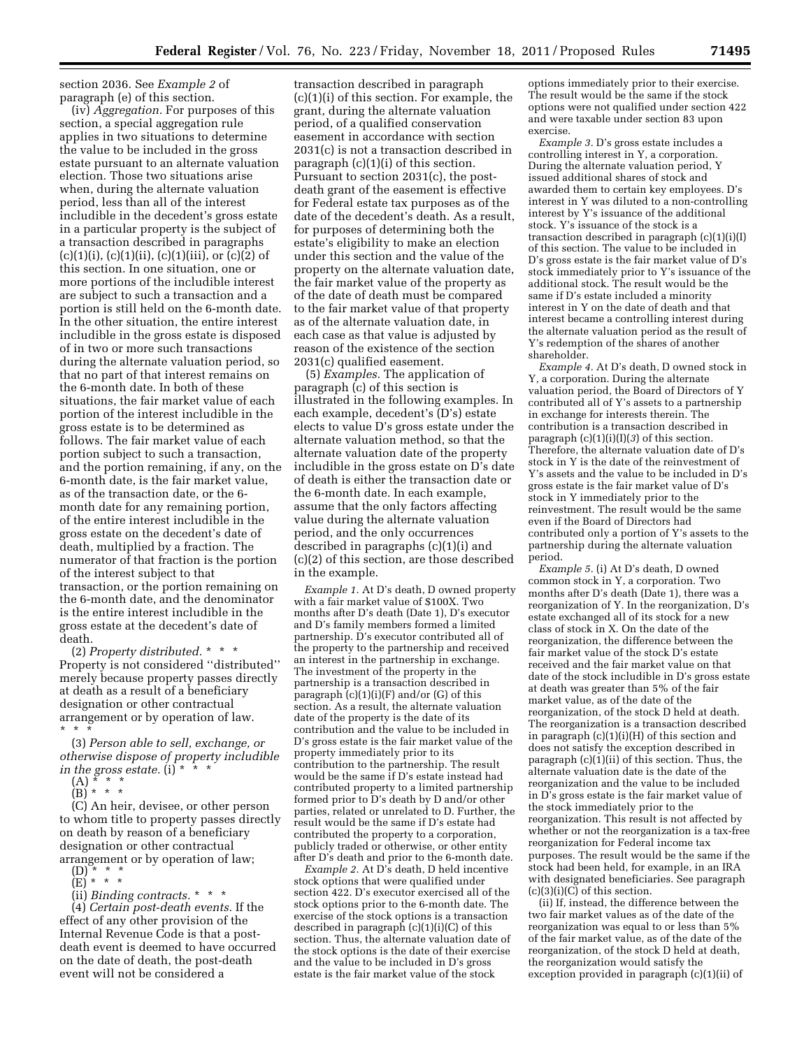section 2036. See *Example 2* of paragraph (e) of this section.

(iv) *Aggregation.* For purposes of this section, a special aggregation rule applies in two situations to determine the value to be included in the gross estate pursuant to an alternate valuation election. Those two situations arise when, during the alternate valuation period, less than all of the interest includible in the decedent's gross estate in a particular property is the subject of a transaction described in paragraphs  $(c)(1)(i)$ ,  $(c)(1)(ii)$ ,  $(c)(1)(iii)$ , or  $(c)(2)$  of this section. In one situation, one or more portions of the includible interest are subject to such a transaction and a portion is still held on the 6-month date. In the other situation, the entire interest includible in the gross estate is disposed of in two or more such transactions during the alternate valuation period, so that no part of that interest remains on the 6-month date. In both of these situations, the fair market value of each portion of the interest includible in the gross estate is to be determined as follows. The fair market value of each portion subject to such a transaction, and the portion remaining, if any, on the 6-month date, is the fair market value, as of the transaction date, or the 6 month date for any remaining portion, of the entire interest includible in the gross estate on the decedent's date of death, multiplied by a fraction. The numerator of that fraction is the portion of the interest subject to that transaction, or the portion remaining on the 6-month date, and the denominator is the entire interest includible in the gross estate at the decedent's date of death.

(2) *Property distributed.* \* \* \* Property is not considered ''distributed'' merely because property passes directly at death as a result of a beneficiary designation or other contractual arrangement or by operation of law.  $*$   $*$ 

(3) *Person able to sell, exchange, or otherwise dispose of property includible in the gross estate.* (i) \* \* \*

- (A) \* \* \*
- (B) \* \* \*

(C) An heir, devisee, or other person to whom title to property passes directly on death by reason of a beneficiary designation or other contractual arrangement or by operation of law;  $(D)$  \* \* \*

- $(E) * * * *$
- 

(ii) *Binding contracts.* \* \* \*

(4) *Certain post-death events.* If the effect of any other provision of the Internal Revenue Code is that a postdeath event is deemed to have occurred on the date of death, the post-death event will not be considered a

transaction described in paragraph (c)(1)(i) of this section. For example, the grant, during the alternate valuation period, of a qualified conservation easement in accordance with section 2031(c) is not a transaction described in paragraph  $(c)(1)(i)$  of this section. Pursuant to section 2031(c), the postdeath grant of the easement is effective for Federal estate tax purposes as of the date of the decedent's death. As a result, for purposes of determining both the estate's eligibility to make an election under this section and the value of the property on the alternate valuation date, the fair market value of the property as of the date of death must be compared to the fair market value of that property as of the alternate valuation date, in each case as that value is adjusted by reason of the existence of the section 2031(c) qualified easement.

(5) *Examples.* The application of paragraph (c) of this section is illustrated in the following examples. In each example, decedent's (D's) estate elects to value D's gross estate under the alternate valuation method, so that the alternate valuation date of the property includible in the gross estate on D's date of death is either the transaction date or the 6-month date. In each example, assume that the only factors affecting value during the alternate valuation period, and the only occurrences described in paragraphs (c)(1)(i) and (c)(2) of this section, are those described in the example.

*Example 1.* At D's death, D owned property with a fair market value of \$100X. Two months after D's death (Date 1), D's executor and D's family members formed a limited partnership. D's executor contributed all of the property to the partnership and received an interest in the partnership in exchange. The investment of the property in the partnership is a transaction described in paragraph  $(c)(1)(i)(F)$  and/or  $(G)$  of this section. As a result, the alternate valuation date of the property is the date of its contribution and the value to be included in D's gross estate is the fair market value of the property immediately prior to its contribution to the partnership. The result would be the same if D's estate instead had contributed property to a limited partnership formed prior to D's death by D and/or other parties, related or unrelated to D. Further, the result would be the same if D's estate had contributed the property to a corporation, publicly traded or otherwise, or other entity after D's death and prior to the 6-month date.

*Example 2.* At D's death, D held incentive stock options that were qualified under section 422. D's executor exercised all of the stock options prior to the 6-month date. The exercise of the stock options is a transaction described in paragraph (c)(1)(i)(C) of this section. Thus, the alternate valuation date of the stock options is the date of their exercise and the value to be included in D's gross estate is the fair market value of the stock

options immediately prior to their exercise. The result would be the same if the stock options were not qualified under section 422 and were taxable under section 83 upon exercise.

*Example 3.* D's gross estate includes a controlling interest in Y, a corporation. During the alternate valuation period, Y issued additional shares of stock and awarded them to certain key employees. D's interest in Y was diluted to a non-controlling interest by Y's issuance of the additional stock. Y's issuance of the stock is a transaction described in paragraph (c)(1)(i)(I) of this section. The value to be included in D's gross estate is the fair market value of D's stock immediately prior to Y's issuance of the additional stock. The result would be the same if D's estate included a minority interest in Y on the date of death and that interest became a controlling interest during the alternate valuation period as the result of Y's redemption of the shares of another shareholder.

*Example 4.* At D's death, D owned stock in Y, a corporation. During the alternate valuation period, the Board of Directors of Y contributed all of Y's assets to a partnership in exchange for interests therein. The contribution is a transaction described in paragraph (c)(1)(i)(I)(*3*) of this section. Therefore, the alternate valuation date of D's stock in Y is the date of the reinvestment of Y's assets and the value to be included in D's gross estate is the fair market value of D's stock in Y immediately prior to the reinvestment. The result would be the same even if the Board of Directors had contributed only a portion of Y's assets to the partnership during the alternate valuation period.

*Example 5.* (i) At D's death, D owned common stock in Y, a corporation. Two months after D's death (Date 1), there was a reorganization of Y. In the reorganization, D's estate exchanged all of its stock for a new class of stock in X. On the date of the reorganization, the difference between the fair market value of the stock D's estate received and the fair market value on that date of the stock includible in D's gross estate at death was greater than 5% of the fair market value, as of the date of the reorganization, of the stock D held at death. The reorganization is a transaction described in paragraph (c)(1)(i)(H) of this section and does not satisfy the exception described in paragraph (c)(1)(ii) of this section. Thus, the alternate valuation date is the date of the reorganization and the value to be included in D's gross estate is the fair market value of the stock immediately prior to the reorganization. This result is not affected by whether or not the reorganization is a tax-free reorganization for Federal income tax purposes. The result would be the same if the stock had been held, for example, in an IRA with designated beneficiaries. See paragraph  $(c)(3)(i)(C)$  of this section.

(ii) If, instead, the difference between the two fair market values as of the date of the reorganization was equal to or less than 5% of the fair market value, as of the date of the reorganization, of the stock D held at death, the reorganization would satisfy the exception provided in paragraph (c)(1)(ii) of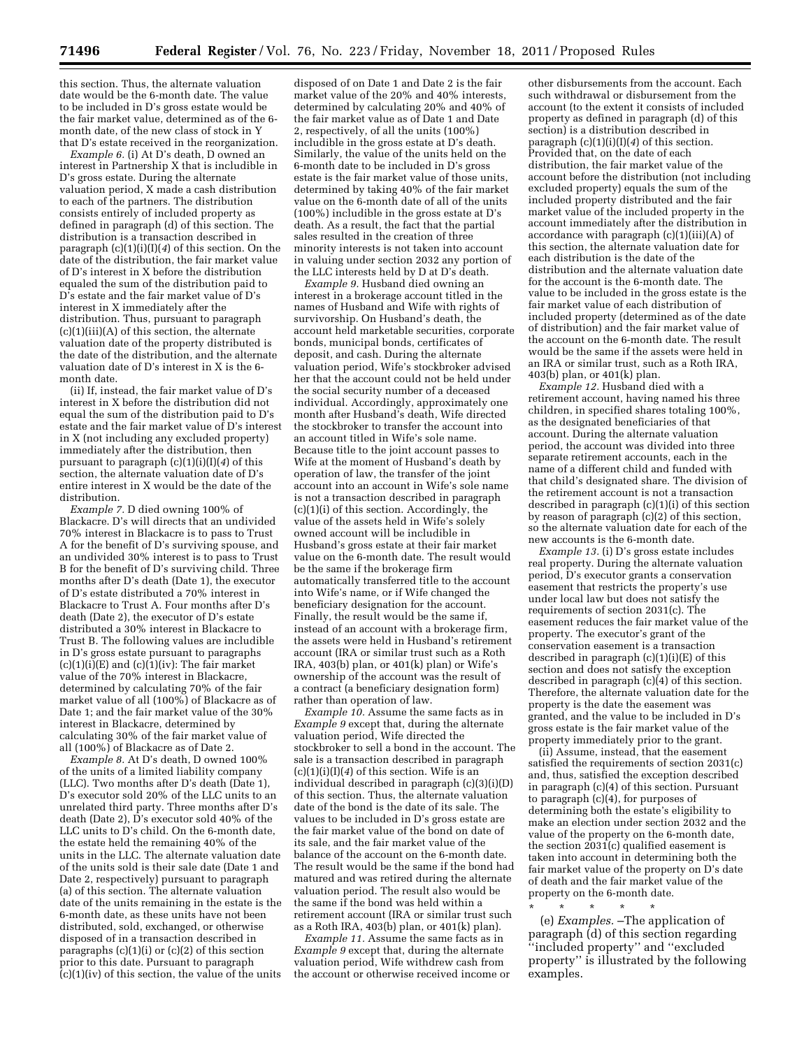this section. Thus, the alternate valuation date would be the 6-month date. The value to be included in D's gross estate would be the fair market value, determined as of the 6 month date, of the new class of stock in Y that D's estate received in the reorganization.

*Example 6.* (i) At D's death, D owned an interest in Partnership X that is includible in D's gross estate. During the alternate valuation period, X made a cash distribution to each of the partners. The distribution consists entirely of included property as defined in paragraph (d) of this section. The distribution is a transaction described in paragraph (c)(1)(i)(I)(*4*) of this section. On the date of the distribution, the fair market value of D's interest in X before the distribution equaled the sum of the distribution paid to D's estate and the fair market value of D's interest in X immediately after the distribution. Thus, pursuant to paragraph (c)(1)(iii)(A) of this section, the alternate valuation date of the property distributed is the date of the distribution, and the alternate valuation date of D's interest in X is the 6 month date.

(ii) If, instead, the fair market value of D's interest in X before the distribution did not equal the sum of the distribution paid to D's estate and the fair market value of D's interest in X (not including any excluded property) immediately after the distribution, then pursuant to paragraph (c)(1)(i)(I)(*4*) of this section, the alternate valuation date of D's entire interest in X would be the date of the distribution.

*Example 7.* D died owning 100% of Blackacre. D's will directs that an undivided 70% interest in Blackacre is to pass to Trust A for the benefit of D's surviving spouse, and an undivided 30% interest is to pass to Trust B for the benefit of D's surviving child. Three months after D's death (Date 1), the executor of D's estate distributed a 70% interest in Blackacre to Trust A. Four months after D's death (Date 2), the executor of D's estate distributed a 30% interest in Blackacre to Trust B. The following values are includible in D's gross estate pursuant to paragraphs  $(c)(1)(i)(E)$  and  $(c)(1)(iv)$ : The fair market value of the 70% interest in Blackacre, determined by calculating 70% of the fair market value of all (100%) of Blackacre as of Date 1; and the fair market value of the 30% interest in Blackacre, determined by calculating 30% of the fair market value of all (100%) of Blackacre as of Date 2.

*Example 8.* At D's death, D owned 100% of the units of a limited liability company (LLC). Two months after D's death (Date 1), D's executor sold 20% of the LLC units to an unrelated third party. Three months after D's death (Date 2), D's executor sold 40% of the LLC units to D's child. On the 6-month date, the estate held the remaining 40% of the units in the LLC. The alternate valuation date of the units sold is their sale date (Date 1 and Date 2, respectively) pursuant to paragraph (a) of this section. The alternate valuation date of the units remaining in the estate is the 6-month date, as these units have not been distributed, sold, exchanged, or otherwise disposed of in a transaction described in paragraphs  $(c)(1)(i)$  or  $(c)(2)$  of this section prior to this date. Pursuant to paragraph  $(c)(1)(iv)$  of this section, the value of the units

disposed of on Date 1 and Date 2 is the fair market value of the 20% and 40% interests, determined by calculating 20% and 40% of the fair market value as of Date 1 and Date 2, respectively, of all the units (100%) includible in the gross estate at D's death. Similarly, the value of the units held on the 6-month date to be included in D's gross estate is the fair market value of those units, determined by taking 40% of the fair market value on the 6-month date of all of the units (100%) includible in the gross estate at D's death. As a result, the fact that the partial sales resulted in the creation of three minority interests is not taken into account in valuing under section 2032 any portion of the LLC interests held by D at D's death.

*Example 9.* Husband died owning an interest in a brokerage account titled in the names of Husband and Wife with rights of survivorship. On Husband's death, the account held marketable securities, corporate bonds, municipal bonds, certificates of deposit, and cash. During the alternate valuation period, Wife's stockbroker advised her that the account could not be held under the social security number of a deceased individual. Accordingly, approximately one month after Husband's death, Wife directed the stockbroker to transfer the account into an account titled in Wife's sole name. Because title to the joint account passes to Wife at the moment of Husband's death by operation of law, the transfer of the joint account into an account in Wife's sole name is not a transaction described in paragraph (c)(1)(i) of this section. Accordingly, the value of the assets held in Wife's solely owned account will be includible in Husband's gross estate at their fair market value on the 6-month date. The result would be the same if the brokerage firm automatically transferred title to the account into Wife's name, or if Wife changed the beneficiary designation for the account. Finally, the result would be the same if, instead of an account with a brokerage firm, the assets were held in Husband's retirement account (IRA or similar trust such as a Roth IRA, 403(b) plan, or 401(k) plan) or Wife's ownership of the account was the result of a contract (a beneficiary designation form) rather than operation of law.

*Example 10.* Assume the same facts as in *Example 9* except that, during the alternate valuation period, Wife directed the stockbroker to sell a bond in the account. The sale is a transaction described in paragraph  $(c)(1)(i)(I)(4)$  of this section. Wife is an individual described in paragraph (c)(3)(i)(D) of this section. Thus, the alternate valuation date of the bond is the date of its sale. The values to be included in D's gross estate are the fair market value of the bond on date of its sale, and the fair market value of the balance of the account on the 6-month date. The result would be the same if the bond had matured and was retired during the alternate valuation period. The result also would be the same if the bond was held within a retirement account (IRA or similar trust such as a Roth IRA, 403(b) plan, or 401(k) plan).

*Example 11.* Assume the same facts as in *Example 9* except that, during the alternate valuation period, Wife withdrew cash from the account or otherwise received income or

other disbursements from the account. Each such withdrawal or disbursement from the account (to the extent it consists of included property as defined in paragraph (d) of this section) is a distribution described in paragraph (c)(1)(i)(I)(*4*) of this section. Provided that, on the date of each distribution, the fair market value of the account before the distribution (not including excluded property) equals the sum of the included property distributed and the fair market value of the included property in the account immediately after the distribution in accordance with paragraph  $(c)(1)(iii)(A)$  of this section, the alternate valuation date for each distribution is the date of the distribution and the alternate valuation date for the account is the 6-month date. The value to be included in the gross estate is the fair market value of each distribution of included property (determined as of the date of distribution) and the fair market value of the account on the 6-month date. The result would be the same if the assets were held in an IRA or similar trust, such as a Roth IRA, 403(b) plan, or 401(k) plan.

*Example 12.* Husband died with a retirement account, having named his three children, in specified shares totaling 100%, as the designated beneficiaries of that account. During the alternate valuation period, the account was divided into three separate retirement accounts, each in the name of a different child and funded with that child's designated share. The division of the retirement account is not a transaction described in paragraph (c)(1)(i) of this section by reason of paragraph (c)(2) of this section, so the alternate valuation date for each of the new accounts is the 6-month date.

*Example 13.* (i) D's gross estate includes real property. During the alternate valuation period, D's executor grants a conservation easement that restricts the property's use under local law but does not satisfy the requirements of section 2031(c). The easement reduces the fair market value of the property. The executor's grant of the conservation easement is a transaction described in paragraph  $(c)(1)(i)(E)$  of this section and does not satisfy the exception described in paragraph (c)(4) of this section. Therefore, the alternate valuation date for the property is the date the easement was granted, and the value to be included in D's gross estate is the fair market value of the property immediately prior to the grant.

(ii) Assume, instead, that the easement satisfied the requirements of section 2031(c) and, thus, satisfied the exception described in paragraph (c)(4) of this section. Pursuant to paragraph (c)(4), for purposes of determining both the estate's eligibility to make an election under section 2032 and the value of the property on the 6-month date, the section  $2031(c)$  qualified easement is taken into account in determining both the fair market value of the property on D's date of death and the fair market value of the property on the 6-month date.

\* \* \* \* \* (e) *Examples.* –The application of paragraph (d) of this section regarding ''included property'' and ''excluded property'' is illustrated by the following examples.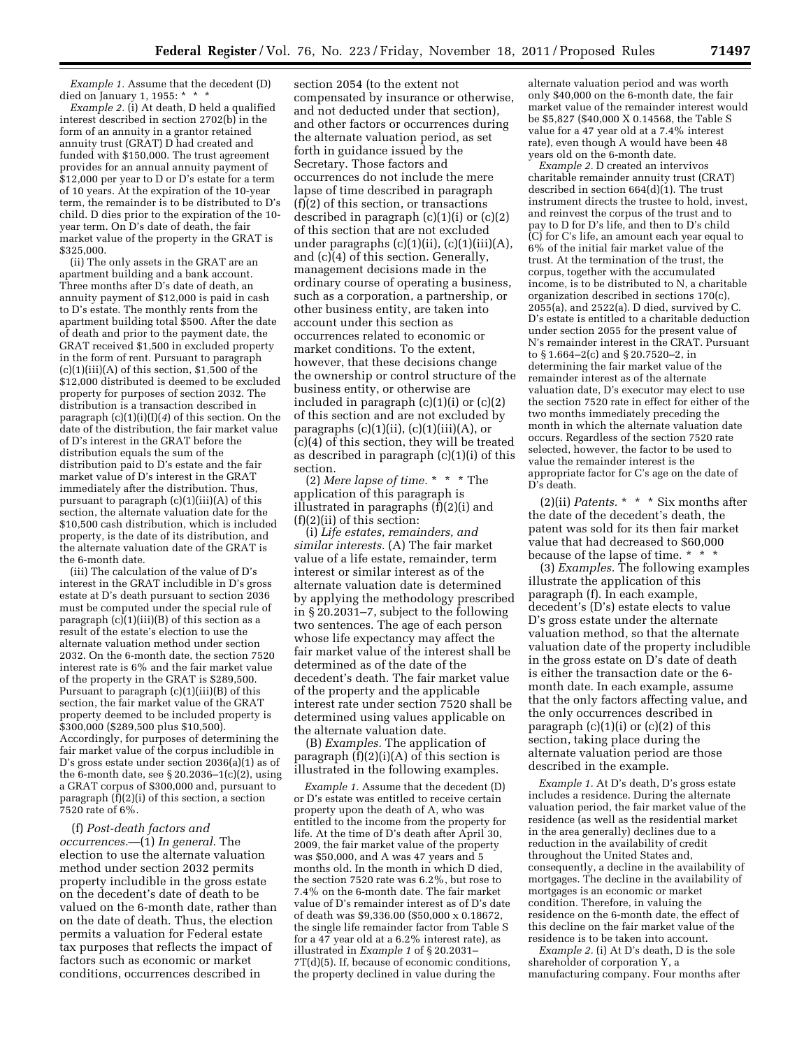*Example 1.* Assume that the decedent (D) died on January 1, 1955: \* \* \*

*Example 2.* (i) At death, D held a qualified interest described in section 2702(b) in the form of an annuity in a grantor retained annuity trust (GRAT) D had created and funded with \$150,000. The trust agreement provides for an annual annuity payment of \$12,000 per year to D or D's estate for a term of 10 years. At the expiration of the 10-year term, the remainder is to be distributed to D's child. D dies prior to the expiration of the 10 year term. On D's date of death, the fair market value of the property in the GRAT is \$325,000.

(ii) The only assets in the GRAT are an apartment building and a bank account. Three months after D's date of death, an annuity payment of \$12,000 is paid in cash to D's estate. The monthly rents from the apartment building total \$500. After the date of death and prior to the payment date, the GRAT received \$1,500 in excluded property in the form of rent. Pursuant to paragraph  $(c)(1)(iii)(A)$  of this section, \$1,500 of the \$12,000 distributed is deemed to be excluded property for purposes of section 2032. The distribution is a transaction described in paragraph (c)(1)(i)(I)(*4*) of this section. On the date of the distribution, the fair market value of D's interest in the GRAT before the distribution equals the sum of the distribution paid to D's estate and the fair market value of D's interest in the GRAT immediately after the distribution. Thus, pursuant to paragraph (c)(1)(iii)(A) of this section, the alternate valuation date for the \$10,500 cash distribution, which is included property, is the date of its distribution, and the alternate valuation date of the GRAT is the 6-month date.

(iii) The calculation of the value of D's interest in the GRAT includible in D's gross estate at D's death pursuant to section 2036 must be computed under the special rule of paragraph (c)(1)(iii)(B) of this section as a result of the estate's election to use the alternate valuation method under section 2032. On the 6-month date, the section 7520 interest rate is 6% and the fair market value of the property in the GRAT is \$289,500. Pursuant to paragraph (c)(1)(iii)(B) of this section, the fair market value of the GRAT property deemed to be included property is  $$300,000$  (\$289,500 plus \$10,500). Accordingly, for purposes of determining the fair market value of the corpus includible in D's gross estate under section 2036(a)(1) as of the 6-month date, see  $\S 20.2036 - 1(c)(2)$ , using a GRAT corpus of \$300,000 and, pursuant to paragraph (f)(2)(i) of this section, a section 7520 rate of 6%.

(f) *Post-death factors and occurrences.*—(1) *In general.* The election to use the alternate valuation method under section 2032 permits property includible in the gross estate on the decedent's date of death to be valued on the 6-month date, rather than on the date of death. Thus, the election permits a valuation for Federal estate tax purposes that reflects the impact of factors such as economic or market conditions, occurrences described in

section 2054 (to the extent not compensated by insurance or otherwise, and not deducted under that section), and other factors or occurrences during the alternate valuation period, as set forth in guidance issued by the Secretary. Those factors and occurrences do not include the mere lapse of time described in paragraph (f)(2) of this section, or transactions described in paragraph  $(c)(1)(i)$  or  $(c)(2)$ of this section that are not excluded under paragraphs  $(c)(1)(ii)$ ,  $(c)(1)(iii)(A)$ , and (c)(4) of this section. Generally, management decisions made in the ordinary course of operating a business, such as a corporation, a partnership, or other business entity, are taken into account under this section as occurrences related to economic or market conditions. To the extent, however, that these decisions change the ownership or control structure of the business entity, or otherwise are included in paragraph  $(c)(1)(i)$  or  $(c)(2)$ of this section and are not excluded by paragraphs  $(c)(1)(ii)$ ,  $(c)(1)(iii)(A)$ , or (c)(4) of this section, they will be treated as described in paragraph (c)(1)(i) of this section.

(2) *Mere lapse of time.* \* \* \* The application of this paragraph is illustrated in paragraphs (f)(2)(i) and  $(f)(2)(ii)$  of this section:

(i) *Life estates, remainders, and similar interests.* (A) The fair market value of a life estate, remainder, term interest or similar interest as of the alternate valuation date is determined by applying the methodology prescribed in § 20.2031–7, subject to the following two sentences. The age of each person whose life expectancy may affect the fair market value of the interest shall be determined as of the date of the decedent's death. The fair market value of the property and the applicable interest rate under section 7520 shall be determined using values applicable on the alternate valuation date.

(B) *Examples.* The application of paragraph  $(f)(2)(i)(A)$  of this section is illustrated in the following examples.

*Example 1.* Assume that the decedent (D) or D's estate was entitled to receive certain property upon the death of A, who was entitled to the income from the property for life. At the time of D's death after April 30, 2009, the fair market value of the property was  $$50,000$ , and A was 47 years and 5 months old. In the month in which D died, the section 7520 rate was 6.2%, but rose to 7.4% on the 6-month date. The fair market value of D's remainder interest as of D's date of death was \$9,336.00 (\$50,000 x 0.18672, the single life remainder factor from Table S for a 47 year old at a 6.2% interest rate), as illustrated in *Example 1* of § 20.2031– 7T(d)(5). If, because of economic conditions, the property declined in value during the

alternate valuation period and was worth only \$40,000 on the 6-month date, the fair market value of the remainder interest would be \$5,827 (\$40,000 X 0.14568, the Table S value for a 47 year old at a 7.4% interest rate), even though A would have been 48 years old on the 6-month date.

*Example 2.* D created an intervivos charitable remainder annuity trust (CRAT) described in section 664(d)(1). The trust instrument directs the trustee to hold, invest, and reinvest the corpus of the trust and to pay to D for D's life, and then to D's child (C) for C's life, an amount each year equal to 6% of the initial fair market value of the trust. At the termination of the trust, the corpus, together with the accumulated income, is to be distributed to N, a charitable organization described in sections 170(c), 2055(a), and 2522(a). D died, survived by C. D's estate is entitled to a charitable deduction under section 2055 for the present value of N's remainder interest in the CRAT. Pursuant to § 1.664–2(c) and § 20.7520–2, in determining the fair market value of the remainder interest as of the alternate valuation date, D's executor may elect to use the section 7520 rate in effect for either of the two months immediately preceding the month in which the alternate valuation date occurs. Regardless of the section 7520 rate selected, however, the factor to be used to value the remainder interest is the appropriate factor for C's age on the date of D's death.

(2)(ii) *Patents.* \* \* \* Six months after the date of the decedent's death, the patent was sold for its then fair market value that had decreased to \$60,000 because of the lapse of time. \* \* \*

(3) *Examples.* The following examples illustrate the application of this paragraph (f). In each example, decedent's (D's) estate elects to value D's gross estate under the alternate valuation method, so that the alternate valuation date of the property includible in the gross estate on D's date of death is either the transaction date or the 6 month date. In each example, assume that the only factors affecting value, and the only occurrences described in paragraph  $(c)(1)(i)$  or  $(c)(2)$  of this section, taking place during the alternate valuation period are those described in the example.

*Example 1.* At D's death, D's gross estate includes a residence. During the alternate valuation period, the fair market value of the residence (as well as the residential market in the area generally) declines due to a reduction in the availability of credit throughout the United States and, consequently, a decline in the availability of mortgages. The decline in the availability of mortgages is an economic or market condition. Therefore, in valuing the residence on the 6-month date, the effect of this decline on the fair market value of the residence is to be taken into account.

*Example 2.* (i) At D's death, D is the sole shareholder of corporation Y, a manufacturing company. Four months after